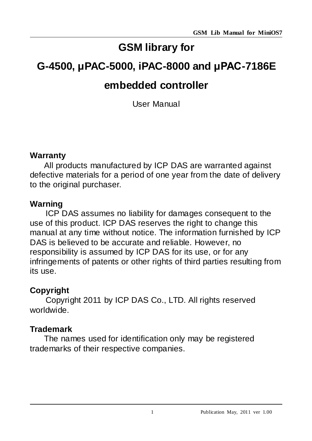# **GSM library for**

# **G-4500, μPAC-5000, iPAC-8000 and μPAC-7186E**

# **embedded controller**

User Manual

## **Warranty**

All products manufactured by ICP DAS are warranted against defective materials for a period of one year from the date of delivery to the original purchaser.

# **Warning**

ICP DAS assumes no liability for damages consequent to the use of this product. ICP DAS reserves the right to change this manual at any time without notice. The information furnished by ICP DAS is believed to be accurate and reliable. However, no responsibility is assumed by ICP DAS for its use, or for any infringements of patents or other rights of third parties resulting from its use.

# **Copyright**

Copyright 2011 by ICP DAS Co., LTD. All rights reserved worldwide.

## **Trademark**

The names used for identification only may be registered trademarks of their respective companies.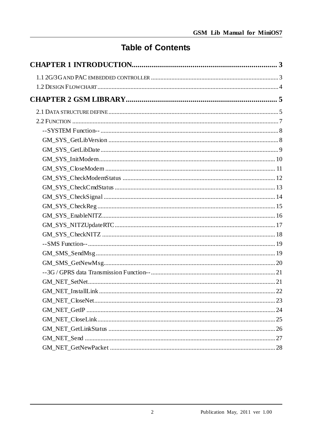# **Table of Contents**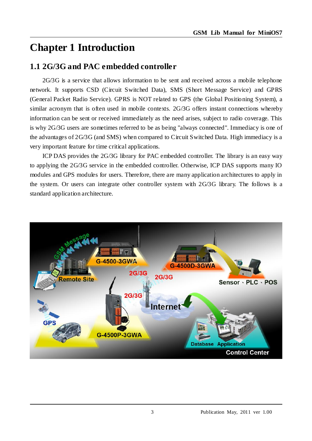# <span id="page-2-0"></span>**Chapter 1 Introduction**

## <span id="page-2-1"></span>**1.1 2G/3G and PAC embedded controller**

2G/3G is a service that allows information to be sent and received across a mobile telephone network. It supports CSD (Circuit Switched Data), SMS (Short Message Service) and GPRS (General Packet Radio Service). GPRS is NOT related to GPS (the Global Positioning System), a similar acronym that is often used in mobile contexts. 2G/3G offers instant connections whereby information can be sent or received immediately as the need arises, subject to radio coverage. This is why 2G/3G users are sometimes referred to be as being "always connected". Immediacy is one of the advantages of 2G/3G (and SMS) when compared to Circuit Switched Data. High immediacy is a very important feature for time critical applications.

ICP DAS provides the 2G/3G library for PAC embedded controller. The library is an easy way to applying the 2G/3G service in the embedded controller. Otherwise, ICP DAS supports many IO modules and GPS modules for users. Therefore, there are many application architectures to apply in the system. Or users can integrate other controller system with 2G/3G library. The follows is a standard application architecture.

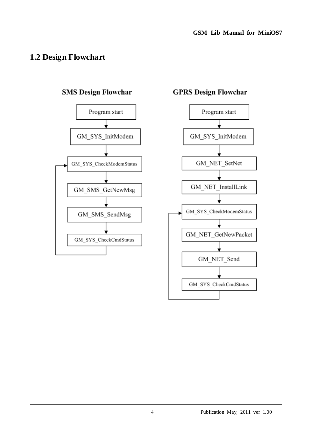## <span id="page-3-0"></span>**1.2 Design Flowchart**



#### **SMS Design Flowchar**



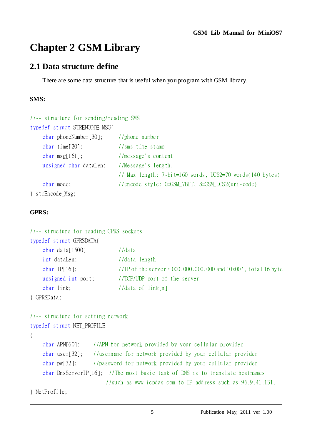# <span id="page-4-0"></span>**Chapter 2 GSM Library**

## <span id="page-4-1"></span>**2.1 Data structure define**

There are some data structure that is useful when you program with GSM library.

#### **SMS:**

| //-- structure for sending/reading SMS |                                                             |
|----------------------------------------|-------------------------------------------------------------|
| typedef struct STRENCODE_MSG{          |                                                             |
| char phone Number $[30]$ ;             | $1$ / phone number                                          |
| char time $[20]$ ;                     | $//rms_time_stamp$                                          |
| charmsg $[161]$ ;                      | //message's content                                         |
| unsigned char dataLen;                 | //Message's length,                                         |
|                                        | // Max length: $7-bi$ t=160 words, UCS2=70 words(140 bytes) |
| char mode;                             | //encode style: 0=GSM_7BIT, 8=GSM_UCS2(uni-code)            |
| } strEncode_Msg;                       |                                                             |

#### **GPRS:**

| //-- structure for reading GPRS sockets |                                                                                  |
|-----------------------------------------|----------------------------------------------------------------------------------|
| typedef struct GPRSDATA{                |                                                                                  |
| char data $[1500]$                      | //data                                                                           |
| int dataLen;                            | //data length                                                                    |
| char IP $[16]$ ;                        | //IP of the server $\cdot$ 000.000.000.000 and '0x00', total 16 by te            |
| unsigned int port;                      | //TCP/UDP port of the server                                                     |
| char link;                              | //data of $link[n]$                                                              |
| } GPRSData;                             |                                                                                  |
|                                         |                                                                                  |
| //-- structure for setting network      |                                                                                  |
| typedef struct NET_PROFILE              |                                                                                  |
| $\{$                                    |                                                                                  |
|                                         | char APN[60]; //APN for network provided by your cellular provider               |
|                                         | char user[32]; //username for network provided by your cellular provider         |
|                                         | char pw[32]; //password for network provided by your cellular provider           |
|                                         | char DnsServerIP $[16]$ ; //The most basic task of DNS is to translate hostnames |
|                                         | //such as www.icpdas.com to IP address such as 96.9.41.131.                      |
| } NetProfile;                           |                                                                                  |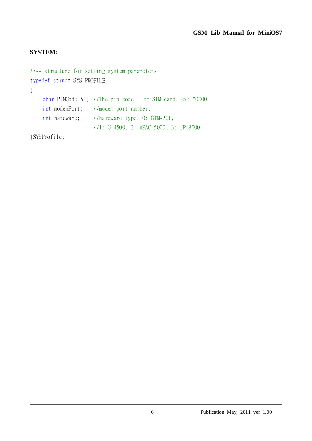#### **SYSTEM:**

```
//-- structure for setting system parameters
typedef struct SYS_PROFILE
{
    char PINCode[5]; //The pin code of SIM card, ex: "0000"
    int modemPort; //modem port number.
    int hardware; //hardware type. 0: GTM-201,
                     //1: G-4500, 2: uPAC-5000, 3: iP-8000
```
}SYSProfile;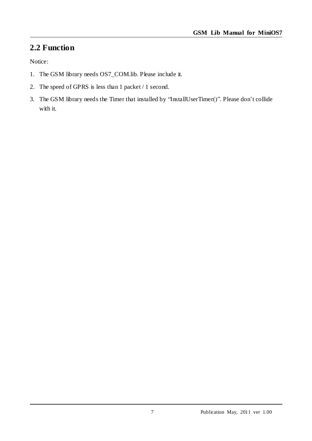## <span id="page-6-0"></span>**2.2 Function**

Notice:

- 1. The GSM library needs OS7\_COM.lib. Please include it.
- 2. The speed of GPRS is less than 1 packet / 1 second.
- 3. The GSM library needs the Timer that installed by "InstallUserTimer()". Please don't collide with it.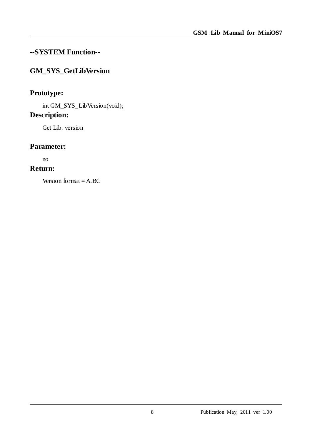## <span id="page-7-0"></span>**--SYSTEM Function--**

## <span id="page-7-1"></span>**GM\_SYS\_GetLibVersion**

## **Prototype:**

int GM\_SYS\_LibVersion(void);

## **Description:**

Get Lib. version

#### **Parameter:**

no

## **Return:**

Version format  $= A$ . BC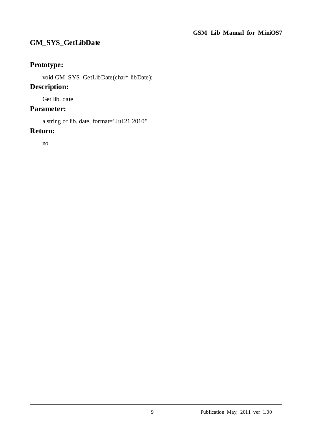#### <span id="page-8-0"></span>**GM\_SYS\_GetLibDate**

## **Prototype:**

void GM\_SYS\_GetLibDate(char\* libDate);

## **Description:**

Get lib. date

## **Parameter:**

a string of lib. date, format="Jul 21 2010"

#### **Return:**

no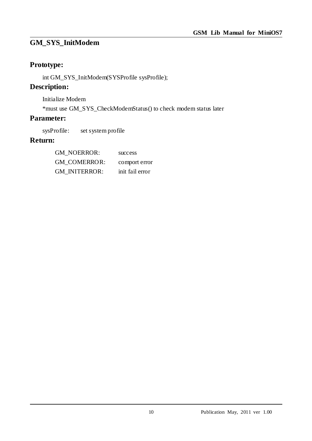## <span id="page-9-0"></span>**GM\_SYS\_InitModem**

## **Prototype:**

int GM\_SYS\_InitModem(SYSProfile sysProfile);

## **Description:**

Initialize Modem

\*must use GM\_SYS\_CheckModemStatus() to check modem status later

## **Parameter:**

sysProfile: set system profile

| <b>GM NOERROR:</b>   | success         |
|----------------------|-----------------|
| <b>GM COMERROR:</b>  | comport error   |
| <b>GM INITERROR:</b> | init fail error |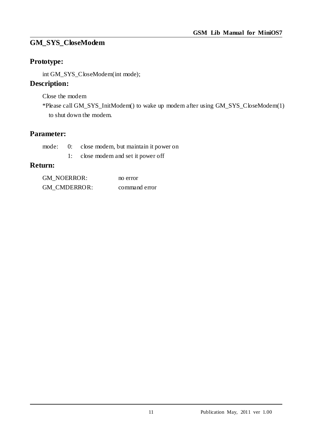## <span id="page-10-0"></span>**GM\_SYS\_CloseModem**

## **Prototype:**

int GM\_SYS\_CloseModem(int mode);

## **Description:**

Close the modem

\*Please call GM\_SYS\_InitModem() to wake up modem after using GM\_SYS\_CloseModem(1) to shut down the modem.

## **Parameter:**

|  | mode: 0: close modem, but maintain it power on |
|--|------------------------------------------------|
|  | 1: close modem and set it power off            |

| <b>GM NOERROR:</b>  | no error      |
|---------------------|---------------|
| <b>GM CMDERROR:</b> | command error |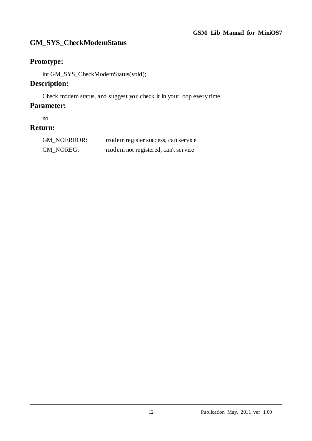## <span id="page-11-0"></span>**GM\_SYS\_CheckModemStatus**

## **Prototype:**

int GM\_SYS\_CheckModemStatus(void);

## **Description:**

Check modem status, and suggest you check it in your loop every time

#### **Parameter:**

no

| <b>GM NOERROR:</b> | modem register success, can service |
|--------------------|-------------------------------------|
| GM NOREG:          | modem not registered, can't service |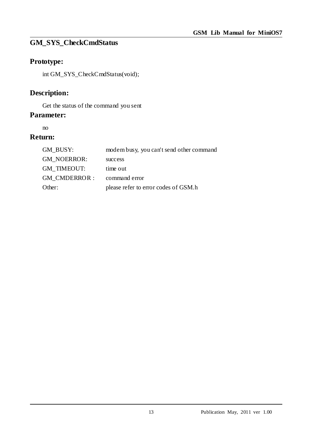## <span id="page-12-0"></span>**GM\_SYS\_CheckCmdStatus**

## **Prototype:**

int GM\_SYS\_CheckCmdStatus(void);

## **Description:**

Get the status of the command you sent

#### **Parameter:**

no

| GM BUSY:            | modem busy, you can't send other command |
|---------------------|------------------------------------------|
| <b>GM NOERROR:</b>  | success                                  |
| <b>GM TIMEOUT:</b>  | time out                                 |
| <b>GM CMDERROR:</b> | command error                            |
| Other:              | please refer to error codes of GSM.h     |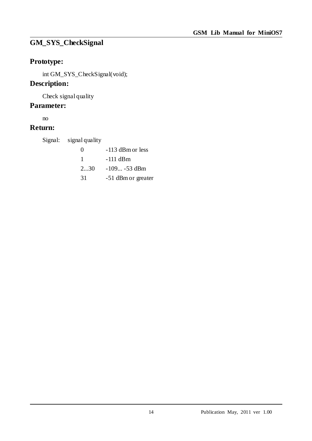# <span id="page-13-0"></span>**GM\_SYS\_CheckSignal**

## **Prototype:**

int GM\_SYS\_CheckSignal(void);

## **Description:**

Check signal quality

## **Parameter:**

no

## **Return:**

Signal: signal quality

| $^{(1)}$ | $-113$ dBm or less |
|----------|--------------------|
| ı        | -111 dBm           |
| 230      | $-109 -53$ dBm     |
| 31       | -51 dBm or greater |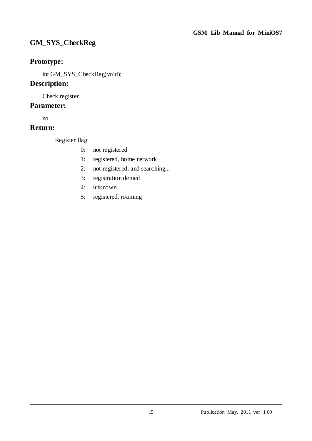## <span id="page-14-0"></span>**GM\_SYS\_CheckReg**

## **Prototype:**

int GM\_SYS\_CheckReg(void);

#### **Description:**

Check register

#### **Parameter:**

no

## **Return:**

Register flag

- 0: not registered
- 1: registered, home network
- 2: not registered, and searching...
- 3: registration denied
- 4: unknown
- 5: registered, roaming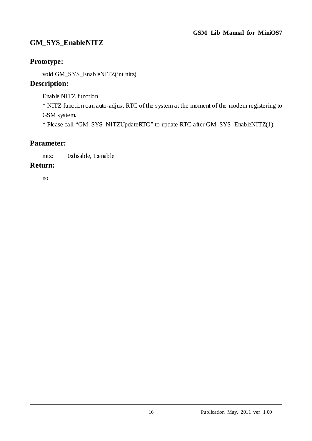## <span id="page-15-0"></span>**GM\_SYS\_EnableNITZ**

## **Prototype:**

void GM\_SYS\_EnableNITZ(int nitz)

## **Description:**

Enable NITZ function

\* NITZ function can auto-adjust RTC of the system at the moment of the modem registering to GSM system.

\* Please call "GM\_SYS\_NITZUpdateRTC" to update RTC after GM\_SYS\_EnableNITZ(1).

## **Parameter:**

nitz: 0:disable, 1:enable

#### **Return:**

no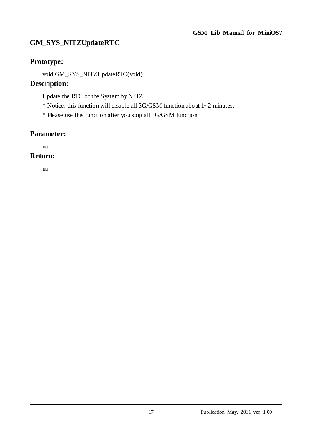## <span id="page-16-0"></span>**GM\_SYS\_NITZUpdateRTC**

## **Prototype:**

void GM\_SYS\_NITZUpdateRTC(void)

#### **Description:**

Update the RTC of the System by NITZ

\* Notice: this function will disable all 3G/GSM function about 1~2 minutes.

\* Please use this function after you stop all 3G/GSM function

#### **Parameter:**

no

#### **Return:**

no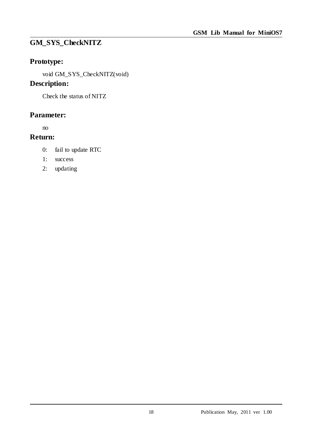## <span id="page-17-0"></span>**GM\_SYS\_CheckNITZ**

## **Prototype:**

void GM\_SYS\_CheckNITZ(void)

## **Description:**

Check the status of NITZ

## **Parameter:**

no

- 0: fail to update RTC
- 1: success
- 2: updating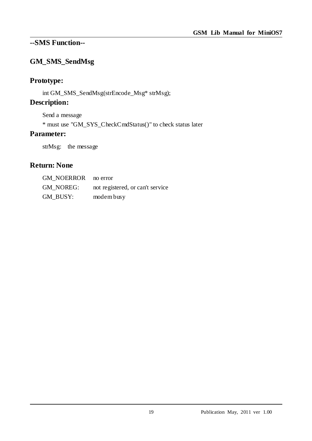## <span id="page-18-0"></span>**--SMS Function--**

## <span id="page-18-1"></span>**GM\_SMS\_SendMsg**

## **Prototype:**

int GM\_SMS\_SendMsg(strEncode\_Msg\* strMsg);

## **Description:**

Send a message

\* must use "GM\_SYS\_CheckCmdStatus()" to check status later

#### **Parameter:**

strMsg: the message

## **Return: None**

| GM NOERROR no error |                                  |
|---------------------|----------------------------------|
| <b>GM NOREG:</b>    | not registered, or can't service |
| GM BUSY:            | modem busy                       |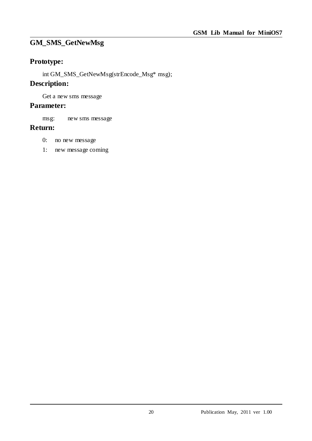## <span id="page-19-0"></span>**GM\_SMS\_GetNewMsg**

## **Prototype:**

int GM\_SMS\_GetNewMsg(strEncode\_Msg\* msg);

#### **Description:**

Get a new sms message

#### **Parameter:**

msg: new sms message

- 0: no new message
- 1: new message coming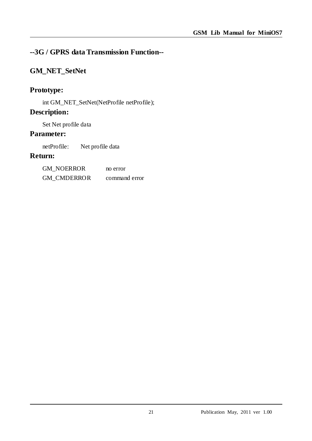## <span id="page-20-0"></span>**--3G / GPRS data Transmission Function--**

## <span id="page-20-1"></span>**GM\_NET\_SetNet**

### **Prototype:**

int GM\_NET\_SetNet(NetProfile netProfile);

#### **Description:**

Set Net profile data

#### **Parameter:**

netProfile: Net profile data

| <b>GM NOERROR</b>  | no error      |
|--------------------|---------------|
| <b>GM CMDERROR</b> | command error |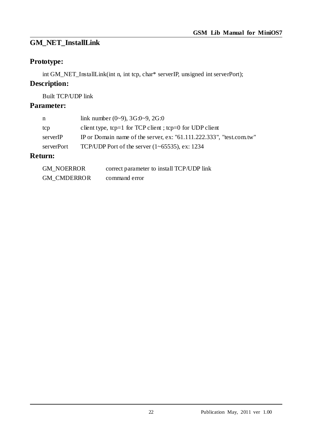## <span id="page-21-0"></span>**GM\_NET\_InstallLink**

## **Prototype:**

int GM\_NET\_InstallLink(int n, int tcp, char\* serverIP, unsigned int serverPort);

## **Description:**

Built TCP/UDP link

## **Parameter:**

| n          | link number $(0-9)$ , 3G:0 $-9$ , 2G:0                               |
|------------|----------------------------------------------------------------------|
| tcp        | client type, tcp=1 for TCP client; tcp=0 for UDP client              |
| serverIP   | IP or Domain name of the server, ex: "61.111.222.333", "test.com.tw" |
| serverPort | TCP/UDP Port of the server $(1-65535)$ , ex: 1234                    |
|            |                                                                      |

| <b>GM NOERROR</b>  | correct parameter to install TCP/UDP link |
|--------------------|-------------------------------------------|
| <b>GM CMDERROR</b> | command error                             |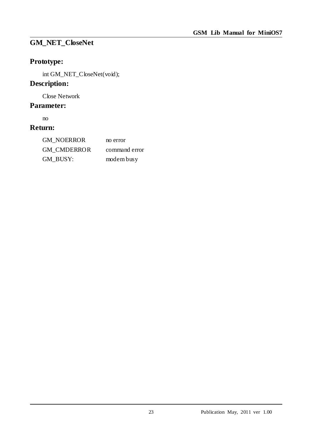## <span id="page-22-0"></span>**GM\_NET\_CloseNet**

## **Prototype:**

int GM\_NET\_CloseNet(void);

## **Description:**

Close Network

## **Parameter:**

no

| GM NOERROR  | no error      |
|-------------|---------------|
| GM CMDERROR | command error |
| GM BUSY:    | modem busy    |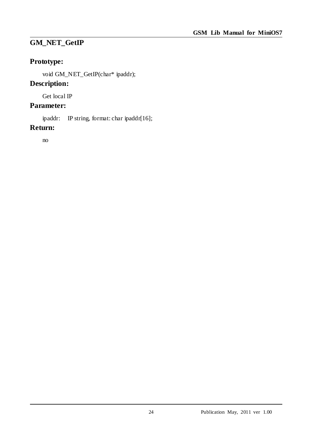## <span id="page-23-0"></span>**GM\_NET\_GetIP**

## **Prototype:**

void GM\_NET\_GetIP(char\* ipaddr);

## **Description:**

Get local IP

## **Parameter:**

ipaddr: IP string, format: char ipaddr[16];

#### **Return:**

no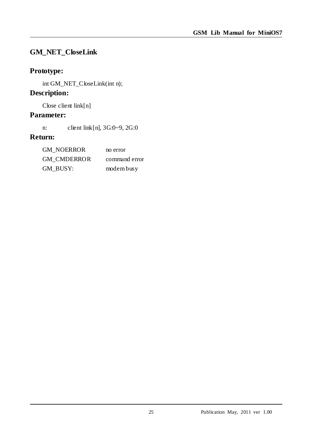## <span id="page-24-0"></span>**GM\_NET\_CloseLink**

## **Prototype:**

int GM\_NET\_CloseLink(int n);

## **Description:**

Close client link[n]

## **Parameter:**

n: client link[n], 3G:0~9, 2G:0

| GM NOERROR  | no error      |
|-------------|---------------|
| GM CMDERROR | command error |
| GM BUSY:    | modem busy    |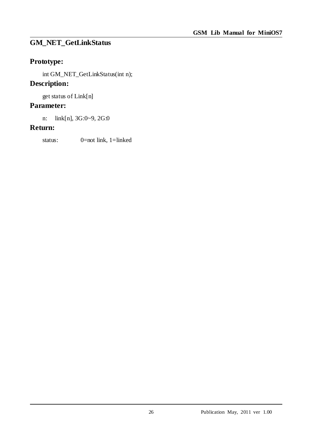## <span id="page-25-0"></span>**GM\_NET\_GetLinkStatus**

## **Prototype:**

int GM\_NET\_GetLinkStatus(int n);

## **Description:**

get status of Link[n]

#### **Parameter:**

n: link[n], 3G:0~9, 2G:0

#### **Return:**

status: 0=not link, 1=linked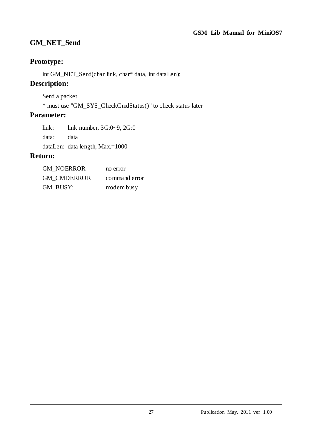## <span id="page-26-0"></span>**GM\_NET\_Send**

## **Prototype:**

int GM\_NET\_Send(char link, char\* data, int dataLen);

## **Description:**

Send a packet

\* must use "GM\_SYS\_CheckCmdStatus()" to check status later

## **Parameter:**

link: link number, 3G:0~9, 2G:0 data: data dataLen: data length, Max.=1000

| <b>GM NOERROR</b>  | no error      |
|--------------------|---------------|
| <b>GM CMDERROR</b> | command error |
| GM BUSY:           | modem busy    |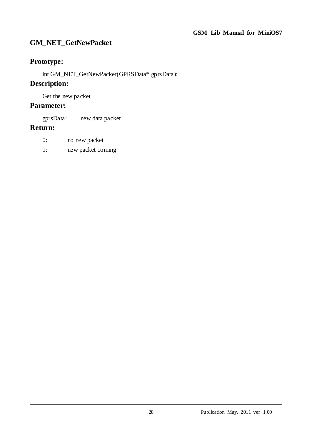## <span id="page-27-0"></span>**GM\_NET\_GetNewPacket**

## **Prototype:**

int GM\_NET\_GetNewPacket(GPRSData\* gprsData);

#### **Description:**

Get the new packet

#### **Parameter:**

gprsData: new data packet

- 0: no new packet
- 1: new packet coming